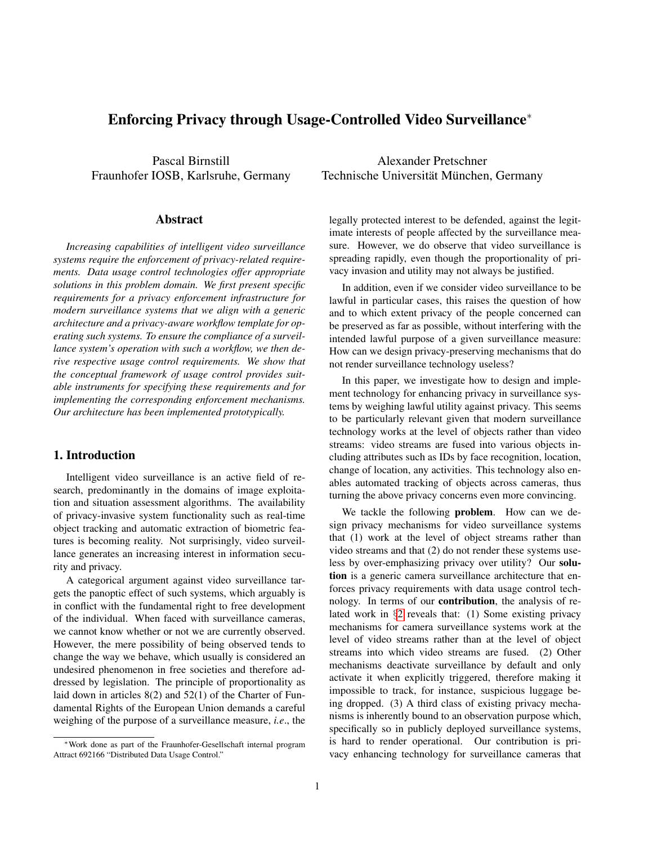# Enforcing Privacy through Usage-Controlled Video Surveillance<sup>∗</sup>

Pascal Birnstill Fraunhofer IOSB, Karlsruhe, Germany

# Abstract

*Increasing capabilities of intelligent video surveillance systems require the enforcement of privacy-related requirements. Data usage control technologies offer appropriate solutions in this problem domain. We first present specific requirements for a privacy enforcement infrastructure for modern surveillance systems that we align with a generic architecture and a privacy-aware workflow template for operating such systems. To ensure the compliance of a surveillance system's operation with such a workflow, we then derive respective usage control requirements. We show that the conceptual framework of usage control provides suitable instruments for specifying these requirements and for implementing the corresponding enforcement mechanisms. Our architecture has been implemented prototypically.*

# 1. Introduction

Intelligent video surveillance is an active field of research, predominantly in the domains of image exploitation and situation assessment algorithms. The availability of privacy-invasive system functionality such as real-time object tracking and automatic extraction of biometric features is becoming reality. Not surprisingly, video surveillance generates an increasing interest in information security and privacy.

A categorical argument against video surveillance targets the panoptic effect of such systems, which arguably is in conflict with the fundamental right to free development of the individual. When faced with surveillance cameras, we cannot know whether or not we are currently observed. However, the mere possibility of being observed tends to change the way we behave, which usually is considered an undesired phenomenon in free societies and therefore addressed by legislation. The principle of proportionality as laid down in articles 8(2) and 52(1) of the Charter of Fundamental Rights of the European Union demands a careful weighing of the purpose of a surveillance measure, *i.e*., the

Alexander Pretschner Technische Universität München, Germany

legally protected interest to be defended, against the legitimate interests of people affected by the surveillance measure. However, we do observe that video surveillance is spreading rapidly, even though the proportionality of privacy invasion and utility may not always be justified.

In addition, even if we consider video surveillance to be lawful in particular cases, this raises the question of how and to which extent privacy of the people concerned can be preserved as far as possible, without interfering with the intended lawful purpose of a given surveillance measure: How can we design privacy-preserving mechanisms that do not render surveillance technology useless?

In this paper, we investigate how to design and implement technology for enhancing privacy in surveillance systems by weighing lawful utility against privacy. This seems to be particularly relevant given that modern surveillance technology works at the level of objects rather than video streams: video streams are fused into various objects including attributes such as IDs by face recognition, location, change of location, any activities. This technology also enables automated tracking of objects across cameras, thus turning the above privacy concerns even more convincing.

We tackle the following **problem**. How can we design privacy mechanisms for video surveillance systems that (1) work at the level of object streams rather than video streams and that (2) do not render these systems useless by over-emphasizing privacy over utility? Our solution is a generic camera surveillance architecture that enforces privacy requirements with data usage control technology. In terms of our contribution, the analysis of related work in §[2](#page-1-0) reveals that: (1) Some existing privacy mechanisms for camera surveillance systems work at the level of video streams rather than at the level of object streams into which video streams are fused. (2) Other mechanisms deactivate surveillance by default and only activate it when explicitly triggered, therefore making it impossible to track, for instance, suspicious luggage being dropped. (3) A third class of existing privacy mechanisms is inherently bound to an observation purpose which, specifically so in publicly deployed surveillance systems, is hard to render operational. Our contribution is privacy enhancing technology for surveillance cameras that

<sup>∗</sup>Work done as part of the Fraunhofer-Gesellschaft internal program Attract 692166 "Distributed Data Usage Control."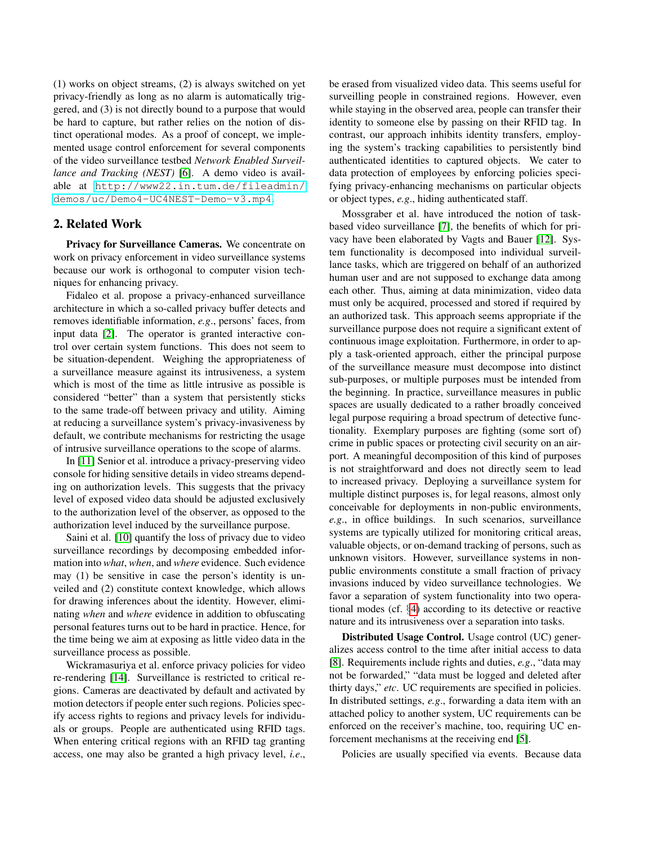(1) works on object streams, (2) is always switched on yet privacy-friendly as long as no alarm is automatically triggered, and (3) is not directly bound to a purpose that would be hard to capture, but rather relies on the notion of distinct operational modes. As a proof of concept, we implemented usage control enforcement for several components of the video surveillance testbed *Network Enabled Surveillance and Tracking (NEST)* [\[6\]](#page-5-0). A demo video is available at [http://www22.in.tum.de/fileadmin/](http://www22.in.tum.de/fileadmin/demos/uc/Demo4-UC4NEST-Demo-v3.mp4) [demos/uc/Demo4-UC4NEST-Demo-v3.mp4](http://www22.in.tum.de/fileadmin/demos/uc/Demo4-UC4NEST-Demo-v3.mp4).

## <span id="page-1-0"></span>2. Related Work

Privacy for Surveillance Cameras. We concentrate on work on privacy enforcement in video surveillance systems because our work is orthogonal to computer vision techniques for enhancing privacy.

Fidaleo et al. propose a privacy-enhanced surveillance architecture in which a so-called privacy buffer detects and removes identifiable information, *e.g*., persons' faces, from input data [\[2\]](#page-5-1). The operator is granted interactive control over certain system functions. This does not seem to be situation-dependent. Weighing the appropriateness of a surveillance measure against its intrusiveness, a system which is most of the time as little intrusive as possible is considered "better" than a system that persistently sticks to the same trade-off between privacy and utility. Aiming at reducing a surveillance system's privacy-invasiveness by default, we contribute mechanisms for restricting the usage of intrusive surveillance operations to the scope of alarms.

In [\[11\]](#page-5-2) Senior et al. introduce a privacy-preserving video console for hiding sensitive details in video streams depending on authorization levels. This suggests that the privacy level of exposed video data should be adjusted exclusively to the authorization level of the observer, as opposed to the authorization level induced by the surveillance purpose.

Saini et al. [\[10\]](#page-5-3) quantify the loss of privacy due to video surveillance recordings by decomposing embedded information into *what*, *when*, and *where* evidence. Such evidence may (1) be sensitive in case the person's identity is unveiled and (2) constitute context knowledge, which allows for drawing inferences about the identity. However, eliminating *when* and *where* evidence in addition to obfuscating personal features turns out to be hard in practice. Hence, for the time being we aim at exposing as little video data in the surveillance process as possible.

Wickramasuriya et al. enforce privacy policies for video re-rendering [\[14\]](#page-5-4). Surveillance is restricted to critical regions. Cameras are deactivated by default and activated by motion detectors if people enter such regions. Policies specify access rights to regions and privacy levels for individuals or groups. People are authenticated using RFID tags. When entering critical regions with an RFID tag granting access, one may also be granted a high privacy level, *i.e*., be erased from visualized video data. This seems useful for surveilling people in constrained regions. However, even while staying in the observed area, people can transfer their identity to someone else by passing on their RFID tag. In contrast, our approach inhibits identity transfers, employing the system's tracking capabilities to persistently bind authenticated identities to captured objects. We cater to data protection of employees by enforcing policies specifying privacy-enhancing mechanisms on particular objects or object types, *e.g*., hiding authenticated staff.

Mossgraber et al. have introduced the notion of taskbased video surveillance [\[7\]](#page-5-5), the benefits of which for privacy have been elaborated by Vagts and Bauer [\[12\]](#page-5-6). System functionality is decomposed into individual surveillance tasks, which are triggered on behalf of an authorized human user and are not supposed to exchange data among each other. Thus, aiming at data minimization, video data must only be acquired, processed and stored if required by an authorized task. This approach seems appropriate if the surveillance purpose does not require a significant extent of continuous image exploitation. Furthermore, in order to apply a task-oriented approach, either the principal purpose of the surveillance measure must decompose into distinct sub-purposes, or multiple purposes must be intended from the beginning. In practice, surveillance measures in public spaces are usually dedicated to a rather broadly conceived legal purpose requiring a broad spectrum of detective functionality. Exemplary purposes are fighting (some sort of) crime in public spaces or protecting civil security on an airport. A meaningful decomposition of this kind of purposes is not straightforward and does not directly seem to lead to increased privacy. Deploying a surveillance system for multiple distinct purposes is, for legal reasons, almost only conceivable for deployments in non-public environments, *e.g*., in office buildings. In such scenarios, surveillance systems are typically utilized for monitoring critical areas, valuable objects, or on-demand tracking of persons, such as unknown visitors. However, surveillance systems in nonpublic environments constitute a small fraction of privacy invasions induced by video surveillance technologies. We favor a separation of system functionality into two operational modes (cf. §[4\)](#page-3-0) according to its detective or reactive nature and its intrusiveness over a separation into tasks.

Distributed Usage Control. Usage control (UC) generalizes access control to the time after initial access to data [\[8\]](#page-5-7). Requirements include rights and duties, *e.g*., "data may not be forwarded," "data must be logged and deleted after thirty days," *etc*. UC requirements are specified in policies. In distributed settings, *e.g*., forwarding a data item with an attached policy to another system, UC requirements can be enforced on the receiver's machine, too, requiring UC enforcement mechanisms at the receiving end [\[5\]](#page-5-8).

Policies are usually specified via events. Because data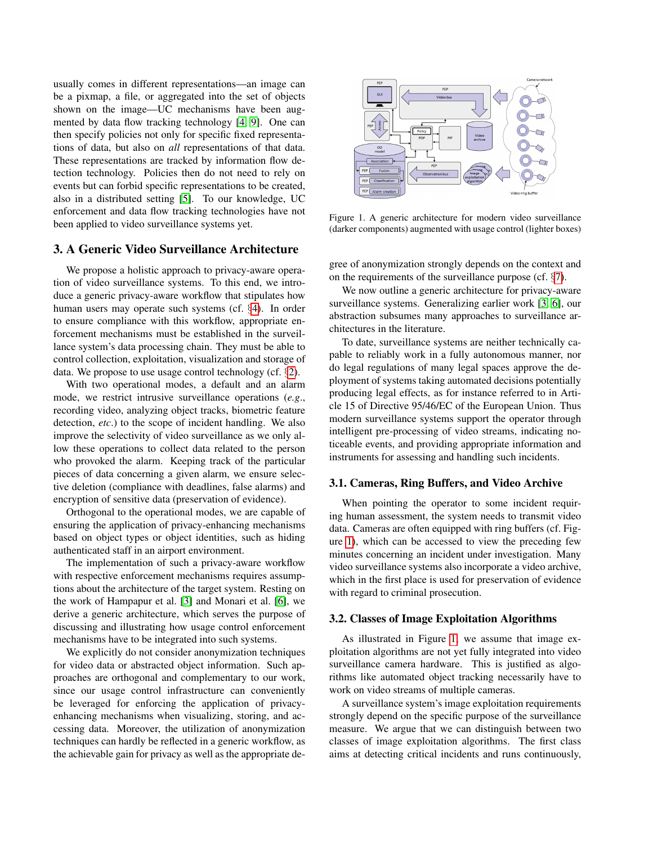usually comes in different representations—an image can be a pixmap, a file, or aggregated into the set of objects shown on the image—UC mechanisms have been augmented by data flow tracking technology [\[4,](#page-5-9) [9\]](#page-5-10). One can then specify policies not only for specific fixed representations of data, but also on *all* representations of that data. These representations are tracked by information flow detection technology. Policies then do not need to rely on events but can forbid specific representations to be created, also in a distributed setting [\[5\]](#page-5-8). To our knowledge, UC enforcement and data flow tracking technologies have not been applied to video surveillance systems yet.

# <span id="page-2-1"></span>3. A Generic Video Surveillance Architecture

We propose a holistic approach to privacy-aware operation of video surveillance systems. To this end, we introduce a generic privacy-aware workflow that stipulates how human users may operate such systems (cf. §[4\)](#page-3-0). In order to ensure compliance with this workflow, appropriate enforcement mechanisms must be established in the surveillance system's data processing chain. They must be able to control collection, exploitation, visualization and storage of data. We propose to use usage control technology (cf. §[2\)](#page-1-0).

With two operational modes, a default and an alarm mode, we restrict intrusive surveillance operations (*e.g*., recording video, analyzing object tracks, biometric feature detection, *etc*.) to the scope of incident handling. We also improve the selectivity of video surveillance as we only allow these operations to collect data related to the person who provoked the alarm. Keeping track of the particular pieces of data concerning a given alarm, we ensure selective deletion (compliance with deadlines, false alarms) and encryption of sensitive data (preservation of evidence).

Orthogonal to the operational modes, we are capable of ensuring the application of privacy-enhancing mechanisms based on object types or object identities, such as hiding authenticated staff in an airport environment.

The implementation of such a privacy-aware workflow with respective enforcement mechanisms requires assumptions about the architecture of the target system. Resting on the work of Hampapur et al. [\[3\]](#page-5-11) and Monari et al. [\[6\]](#page-5-0), we derive a generic architecture, which serves the purpose of discussing and illustrating how usage control enforcement mechanisms have to be integrated into such systems.

We explicitly do not consider anonymization techniques for video data or abstracted object information. Such approaches are orthogonal and complementary to our work, since our usage control infrastructure can conveniently be leveraged for enforcing the application of privacyenhancing mechanisms when visualizing, storing, and accessing data. Moreover, the utilization of anonymization techniques can hardly be reflected in a generic workflow, as the achievable gain for privacy as well as the appropriate de-



<span id="page-2-0"></span>Figure 1. A generic architecture for modern video surveillance (darker components) augmented with usage control (lighter boxes)

gree of anonymization strongly depends on the context and on the requirements of the surveillance purpose (cf. §[7\)](#page-5-12).

We now outline a generic architecture for privacy-aware surveillance systems. Generalizing earlier work [\[3,](#page-5-11) [6\]](#page-5-0), our abstraction subsumes many approaches to surveillance architectures in the literature.

To date, surveillance systems are neither technically capable to reliably work in a fully autonomous manner, nor do legal regulations of many legal spaces approve the deployment of systems taking automated decisions potentially producing legal effects, as for instance referred to in Article 15 of Directive 95/46/EC of the European Union. Thus modern surveillance systems support the operator through intelligent pre-processing of video streams, indicating noticeable events, and providing appropriate information and instruments for assessing and handling such incidents.

#### 3.1. Cameras, Ring Buffers, and Video Archive

When pointing the operator to some incident requiring human assessment, the system needs to transmit video data. Cameras are often equipped with ring buffers (cf. Figure [1\)](#page-2-0), which can be accessed to view the preceding few minutes concerning an incident under investigation. Many video surveillance systems also incorporate a video archive, which in the first place is used for preservation of evidence with regard to criminal prosecution.

#### <span id="page-2-2"></span>3.2. Classes of Image Exploitation Algorithms

As illustrated in Figure [1,](#page-2-0) we assume that image exploitation algorithms are not yet fully integrated into video surveillance camera hardware. This is justified as algorithms like automated object tracking necessarily have to work on video streams of multiple cameras.

A surveillance system's image exploitation requirements strongly depend on the specific purpose of the surveillance measure. We argue that we can distinguish between two classes of image exploitation algorithms. The first class aims at detecting critical incidents and runs continuously,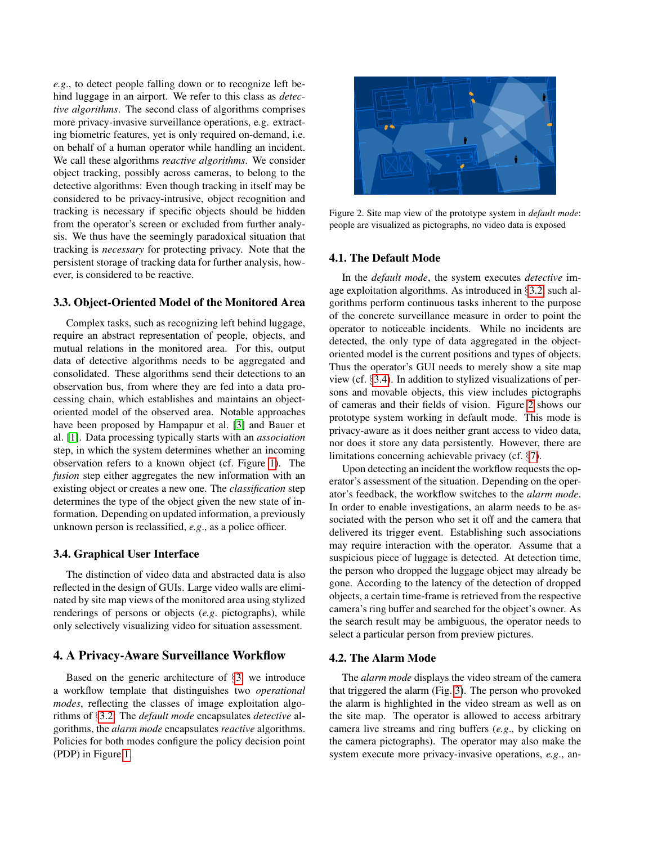*e.g*., to detect people falling down or to recognize left behind luggage in an airport. We refer to this class as *detective algorithms*. The second class of algorithms comprises more privacy-invasive surveillance operations, e.g. extracting biometric features, yet is only required on-demand, i.e. on behalf of a human operator while handling an incident. We call these algorithms *reactive algorithms*. We consider object tracking, possibly across cameras, to belong to the detective algorithms: Even though tracking in itself may be considered to be privacy-intrusive, object recognition and tracking is necessary if specific objects should be hidden from the operator's screen or excluded from further analysis. We thus have the seemingly paradoxical situation that tracking is *necessary* for protecting privacy. Note that the persistent storage of tracking data for further analysis, however, is considered to be reactive.

#### <span id="page-3-3"></span>3.3. Object-Oriented Model of the Monitored Area

Complex tasks, such as recognizing left behind luggage, require an abstract representation of people, objects, and mutual relations in the monitored area. For this, output data of detective algorithms needs to be aggregated and consolidated. These algorithms send their detections to an observation bus, from where they are fed into a data processing chain, which establishes and maintains an objectoriented model of the observed area. Notable approaches have been proposed by Hampapur et al. [\[3\]](#page-5-11) and Bauer et al. [\[1\]](#page-5-13). Data processing typically starts with an *association* step, in which the system determines whether an incoming observation refers to a known object (cf. Figure [1\)](#page-2-0). The *fusion* step either aggregates the new information with an existing object or creates a new one. The *classification* step determines the type of the object given the new state of information. Depending on updated information, a previously unknown person is reclassified, *e.g*., as a police officer.

#### <span id="page-3-1"></span>3.4. Graphical User Interface

The distinction of video data and abstracted data is also reflected in the design of GUIs. Large video walls are eliminated by site map views of the monitored area using stylized renderings of persons or objects (*e.g*. pictographs), while only selectively visualizing video for situation assessment.

# <span id="page-3-0"></span>4. A Privacy-Aware Surveillance Workflow

Based on the generic architecture of §[3,](#page-2-1) we introduce a workflow template that distinguishes two *operational modes*, reflecting the classes of image exploitation algorithms of §[3.2:](#page-2-2) The *default mode* encapsulates *detective* algorithms, the *alarm mode* encapsulates *reactive* algorithms. Policies for both modes configure the policy decision point (PDP) in Figure [1.](#page-2-0)



Figure 2. Site map view of the prototype system in *default mode*: people are visualized as pictographs, no video data is exposed

#### <span id="page-3-5"></span><span id="page-3-2"></span>4.1. The Default Mode

In the *default mode*, the system executes *detective* image exploitation algorithms. As introduced in §[3.2,](#page-2-2) such algorithms perform continuous tasks inherent to the purpose of the concrete surveillance measure in order to point the operator to noticeable incidents. While no incidents are detected, the only type of data aggregated in the objectoriented model is the current positions and types of objects. Thus the operator's GUI needs to merely show a site map view (cf. §[3.4\)](#page-3-1). In addition to stylized visualizations of persons and movable objects, this view includes pictographs of cameras and their fields of vision. Figure [2](#page-3-2) shows our prototype system working in default mode. This mode is privacy-aware as it does neither grant access to video data, nor does it store any data persistently. However, there are limitations concerning achievable privacy (cf. §[7\)](#page-5-12).

Upon detecting an incident the workflow requests the operator's assessment of the situation. Depending on the operator's feedback, the workflow switches to the *alarm mode*. In order to enable investigations, an alarm needs to be associated with the person who set it off and the camera that delivered its trigger event. Establishing such associations may require interaction with the operator. Assume that a suspicious piece of luggage is detected. At detection time, the person who dropped the luggage object may already be gone. According to the latency of the detection of dropped objects, a certain time-frame is retrieved from the respective camera's ring buffer and searched for the object's owner. As the search result may be ambiguous, the operator needs to select a particular person from preview pictures.

#### <span id="page-3-4"></span>4.2. The Alarm Mode

The *alarm mode* displays the video stream of the camera that triggered the alarm (Fig. [3\)](#page-4-0). The person who provoked the alarm is highlighted in the video stream as well as on the site map. The operator is allowed to access arbitrary camera live streams and ring buffers (*e.g*., by clicking on the camera pictographs). The operator may also make the system execute more privacy-invasive operations, *e.g*., an-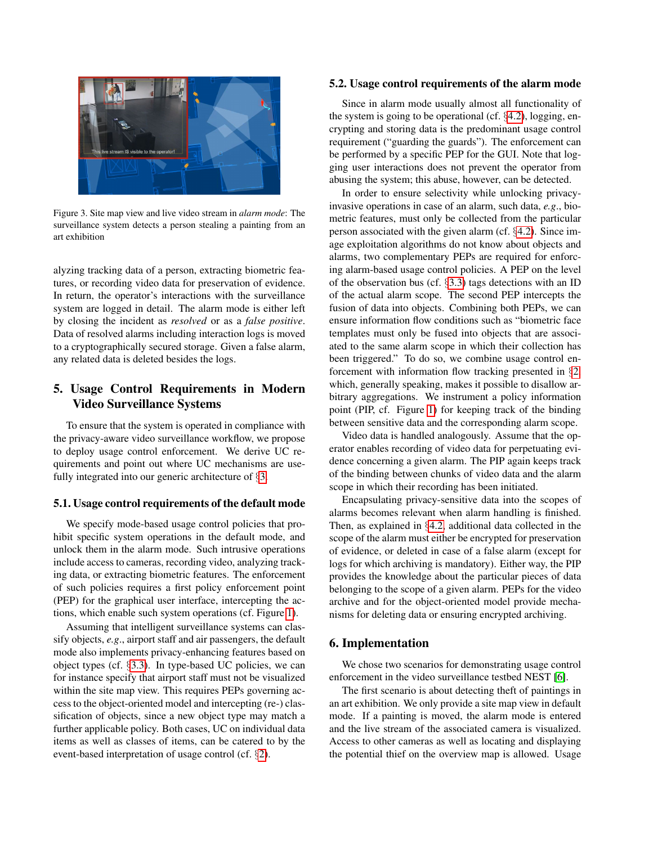

Figure 3. Site map view and live video stream in *alarm mode*: The surveillance system detects a person stealing a painting from an art exhibition

<span id="page-4-0"></span>alyzing tracking data of a person, extracting biometric features, or recording video data for preservation of evidence. In return, the operator's interactions with the surveillance system are logged in detail. The alarm mode is either left by closing the incident as *resolved* or as a *false positive*. Data of resolved alarms including interaction logs is moved to a cryptographically secured storage. Given a false alarm, any related data is deleted besides the logs.

# 5. Usage Control Requirements in Modern Video Surveillance Systems

To ensure that the system is operated in compliance with the privacy-aware video surveillance workflow, we propose to deploy usage control enforcement. We derive UC requirements and point out where UC mechanisms are usefully integrated into our generic architecture of §[3.](#page-2-1)

# 5.1. Usage control requirements of the default mode

We specify mode-based usage control policies that prohibit specific system operations in the default mode, and unlock them in the alarm mode. Such intrusive operations include access to cameras, recording video, analyzing tracking data, or extracting biometric features. The enforcement of such policies requires a first policy enforcement point (PEP) for the graphical user interface, intercepting the actions, which enable such system operations (cf. Figure [1\)](#page-2-0).

Assuming that intelligent surveillance systems can classify objects, *e.g*., airport staff and air passengers, the default mode also implements privacy-enhancing features based on object types (cf. §[3.3\)](#page-3-3). In type-based UC policies, we can for instance specify that airport staff must not be visualized within the site map view. This requires PEPs governing access to the object-oriented model and intercepting (re-) classification of objects, since a new object type may match a further applicable policy. Both cases, UC on individual data items as well as classes of items, can be catered to by the event-based interpretation of usage control (cf. §[2\)](#page-1-0).

#### 5.2. Usage control requirements of the alarm mode

Since in alarm mode usually almost all functionality of the system is going to be operational (cf. §[4.2\)](#page-3-4), logging, encrypting and storing data is the predominant usage control requirement ("guarding the guards"). The enforcement can be performed by a specific PEP for the GUI. Note that logging user interactions does not prevent the operator from abusing the system; this abuse, however, can be detected.

In order to ensure selectivity while unlocking privacyinvasive operations in case of an alarm, such data, *e.g*., biometric features, must only be collected from the particular person associated with the given alarm (cf. §[4.2\)](#page-3-4). Since image exploitation algorithms do not know about objects and alarms, two complementary PEPs are required for enforcing alarm-based usage control policies. A PEP on the level of the observation bus (cf.  $\S 3.3$ ) tags detections with an ID of the actual alarm scope. The second PEP intercepts the fusion of data into objects. Combining both PEPs, we can ensure information flow conditions such as "biometric face templates must only be fused into objects that are associated to the same alarm scope in which their collection has been triggered." To do so, we combine usage control enforcement with information flow tracking presented in §[2,](#page-1-0) which, generally speaking, makes it possible to disallow arbitrary aggregations. We instrument a policy information point (PIP, cf. Figure [1\)](#page-2-0) for keeping track of the binding between sensitive data and the corresponding alarm scope.

Video data is handled analogously. Assume that the operator enables recording of video data for perpetuating evidence concerning a given alarm. The PIP again keeps track of the binding between chunks of video data and the alarm scope in which their recording has been initiated.

Encapsulating privacy-sensitive data into the scopes of alarms becomes relevant when alarm handling is finished. Then, as explained in §[4.2,](#page-3-4) additional data collected in the scope of the alarm must either be encrypted for preservation of evidence, or deleted in case of a false alarm (except for logs for which archiving is mandatory). Either way, the PIP provides the knowledge about the particular pieces of data belonging to the scope of a given alarm. PEPs for the video archive and for the object-oriented model provide mechanisms for deleting data or ensuring encrypted archiving.

# 6. Implementation

We chose two scenarios for demonstrating usage control enforcement in the video surveillance testbed NEST [\[6\]](#page-5-0).

The first scenario is about detecting theft of paintings in an art exhibition. We only provide a site map view in default mode. If a painting is moved, the alarm mode is entered and the live stream of the associated camera is visualized. Access to other cameras as well as locating and displaying the potential thief on the overview map is allowed. Usage